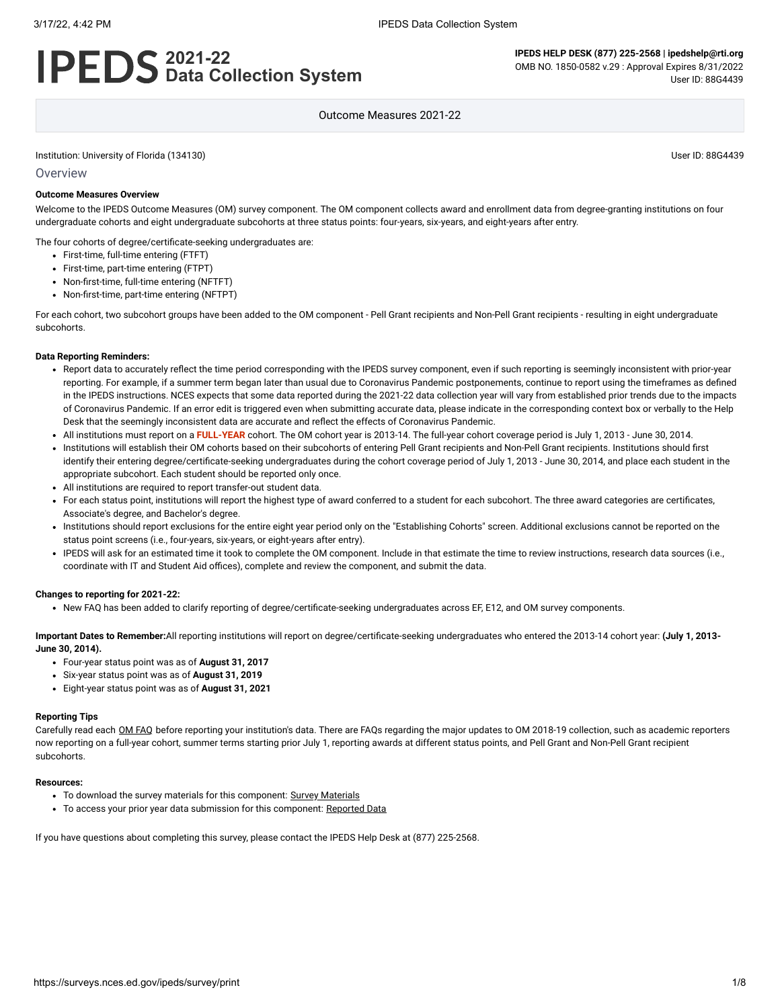# **2021-22 Data Collection System**

**IPEDS HELP DESK (877) 225-2568 | ipedshelp@rti.org** OMB NO. 1850-0582 v.29 : Approval Expires 8/31/2022 User ID: 88G4439

Outcome Measures 2021-22

Institution: University of Florida (134130) User ID: 88G4439

**Overview** 

#### **Outcome Measures Overview**

Welcome to the IPEDS Outcome Measures (OM) survey component. The OM component collects award and enrollment data from degree-granting institutions on four undergraduate cohorts and eight undergraduate subcohorts at three status points: four-years, six-years, and eight-years after entry.

The four cohorts of degree/certificate-seeking undergraduates are:

- First-time, full-time entering (FTFT)
- First-time, part-time entering (FTPT)
- Non-first-time, full-time entering (NFTFT)
- Non-first-time, part-time entering (NFTPT)

For each cohort, two subcohort groups have been added to the OM component - Pell Grant recipients and Non-Pell Grant recipients - resulting in eight undergraduate subcohorts.

#### **Data Reporting Reminders:**

- Report data to accurately reflect the time period corresponding with the IPEDS survey component, even if such reporting is seemingly inconsistent with prior-year reporting. For example, if a summer term began later than usual due to Coronavirus Pandemic postponements, continue to report using the timeframes as defined in the IPEDS instructions. NCES expects that some data reported during the 2021-22 data collection year will vary from established prior trends due to the impacts of Coronavirus Pandemic. If an error edit is triggered even when submitting accurate data, please indicate in the corresponding context box or verbally to the Help Desk that the seemingly inconsistent data are accurate and reflect the effects of Coronavirus Pandemic.
- All institutions must report on a **FULL-YEAR** cohort. The OM cohort year is 2013-14. The full-year cohort coverage period is July 1, 2013 June 30, 2014.
- Institutions will establish their OM cohorts based on their subcohorts of entering Pell Grant recipients and Non-Pell Grant recipients. Institutions should first  $\ddot{\phantom{a}}$ identify their entering degree/certificate-seeking undergraduates during the cohort coverage period of July 1, 2013 - June 30, 2014, and place each student in the appropriate subcohort. Each student should be reported only once.
- All institutions are required to report transfer-out student data.
- For each status point, institutions will report the highest type of award conferred to a student for each subcohort. The three award categories are certificates, Associate's degree, and Bachelor's degree.
- Institutions should report exclusions for the entire eight year period only on the "Establishing Cohorts" screen. Additional exclusions cannot be reported on the status point screens (i.e., four-years, six-years, or eight-years after entry).
- IPEDS will ask for an estimated time it took to complete the OM component. Include in that estimate the time to review instructions, research data sources (i.e., coordinate with IT and Student Aid offices), complete and review the component, and submit the data.

#### **Changes to reporting for 2021-22:**

• New FAQ has been added to clarify reporting of degree/certificate-seeking undergraduates across EF, E12, and OM survey components.

**Important Dates to Remember:**All reporting institutions will report on degree/certificate-seeking undergraduates who entered the 2013-14 cohort year: **(July 1, 2013- June 30, 2014).**

- Four-year status point was as of **August 31, 2017**
- Six-year status point was as of **August 31, 2019**
- Eight-year status point was as of **August 31, 2021**

#### **Reporting Tips**

Carefully read each OM [FAQ](https://surveys.nces.ed.gov/ipeds/public/survey-materials/faq?faqid=14) before reporting your institution's data. There are FAQs regarding the major updates to OM 2018-19 collection, such as academic reporters now reporting on a full-year cohort, summer terms starting prior July 1, reporting awards at different status points, and Pell Grant and Non-Pell Grant recipient subcohorts.

#### **Resources:**

- To download the survey materials for this component: Survey [Materials](https://surveys.nces.ed.gov/ipeds/public/survey-materials/index)
- To access your prior year data submission for this component: [Reported Data](javascript:openReportedData(134130, 13))

If you have questions about completing this survey, please contact the IPEDS Help Desk at (877) 225-2568.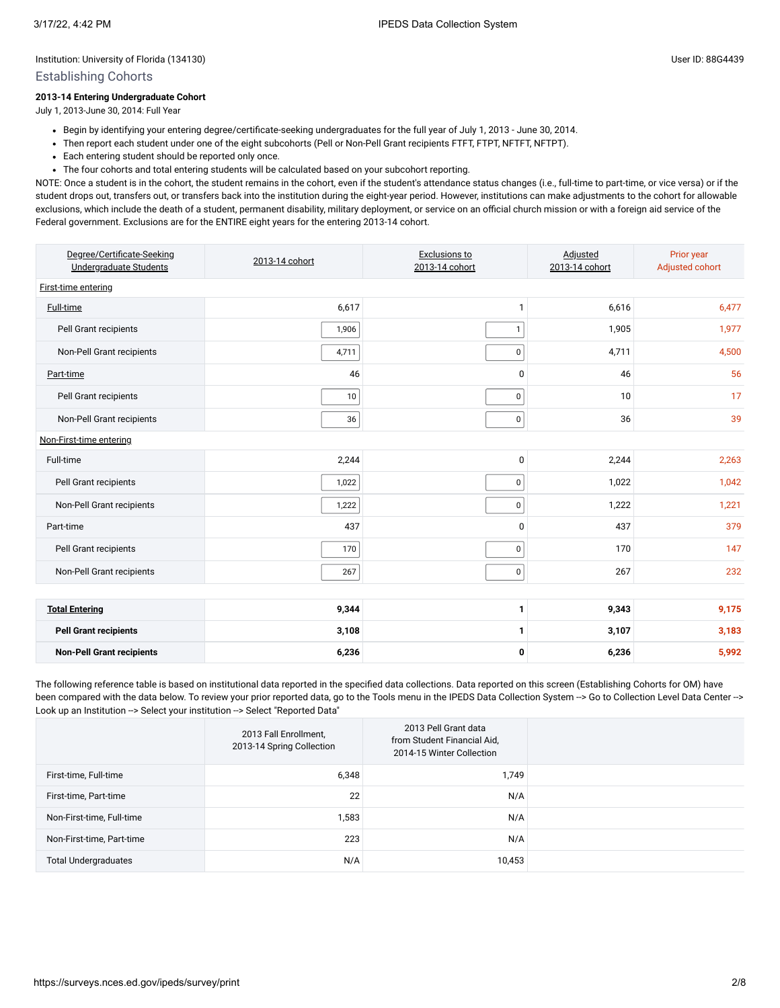#### Establishing Cohorts

#### **2013-14 Entering Undergraduate Cohort**

July 1, 2013-June 30, 2014: Full Year

- Begin by identifying your entering degree/certificate-seeking undergraduates for the full year of July 1, 2013 June 30, 2014.
- Then report each student under one of the eight subcohorts (Pell or Non-Pell Grant recipients FTFT, FTPT, NFTFT, NFTPT).
- Each entering student should be reported only once.
- The four cohorts and total entering students will be calculated based on your subcohort reporting.

NOTE: Once a student is in the cohort, the student remains in the cohort, even if the student's attendance status changes (i.e., full-time to part-time, or vice versa) or if the student drops out, transfers out, or transfers back into the institution during the eight-year period. However, institutions can make adjustments to the cohort for allowable exclusions, which include the death of a student, permanent disability, military deployment, or service on an official church mission or with a foreign aid service of the Federal government. Exclusions are for the ENTIRE eight years for the entering 2013-14 cohort.

| Degree/Certificate-Seeking<br>Undergraduate Students | 2013-14 cohort | Exclusions to<br>2013-14 cohort | Adjusted<br>2013-14 cohort | Prior year<br>Adjusted cohort |  |  |  |  |  |
|------------------------------------------------------|----------------|---------------------------------|----------------------------|-------------------------------|--|--|--|--|--|
| First-time entering                                  |                |                                 |                            |                               |  |  |  |  |  |
| <b>Full-time</b>                                     | 6,617          | 1                               | 6,616                      | 6,477                         |  |  |  |  |  |
| Pell Grant recipients                                | 1,906          | $\mathbf 1$                     | 1,905                      | 1,977                         |  |  |  |  |  |
| Non-Pell Grant recipients                            | 4,711          | 0                               | 4,711                      | 4,500                         |  |  |  |  |  |
| Part-time                                            | 46             | $\mathbf 0$                     | 46                         | 56                            |  |  |  |  |  |
| Pell Grant recipients                                | $10$           | 0                               | 10                         | 17                            |  |  |  |  |  |
| Non-Pell Grant recipients                            | 36             | $\mathbf 0$                     | 36                         | 39                            |  |  |  |  |  |
| Non-First-time entering                              |                |                                 |                            |                               |  |  |  |  |  |
| Full-time                                            | 2,244          | $\mathbf 0$                     | 2,244                      | 2,263                         |  |  |  |  |  |
| Pell Grant recipients                                | 1,022          | $\mathbf 0$                     | 1,022                      | 1,042                         |  |  |  |  |  |
| Non-Pell Grant recipients                            | 1,222          | 0                               | 1,222                      | 1,221                         |  |  |  |  |  |
| Part-time                                            | 437            | $\mathbf{0}$                    | 437                        | 379                           |  |  |  |  |  |
| Pell Grant recipients                                | 170            | $\mathbf 0$                     | 170                        | 147                           |  |  |  |  |  |
| Non-Pell Grant recipients                            | 267            | $\mathsf 0$                     | 267                        | 232                           |  |  |  |  |  |
|                                                      |                |                                 |                            |                               |  |  |  |  |  |
| <b>Total Entering</b>                                | 9,344          | 1                               | 9,343                      | 9,175                         |  |  |  |  |  |
| <b>Pell Grant recipients</b>                         | 3,108          | 1                               | 3,107                      | 3,183                         |  |  |  |  |  |
| <b>Non-Pell Grant recipients</b>                     | 6,236          | 0                               | 6,236                      | 5,992                         |  |  |  |  |  |

The following reference table is based on institutional data reported in the specified data collections. Data reported on this screen (Establishing Cohorts for OM) have been compared with the data below. To review your prior reported data, go to the Tools menu in the IPEDS Data Collection System --> Go to Collection Level Data Center --> Look up an Institution --> Select your institution --> Select "Reported Data"

|                             | 2013 Fall Enrollment,<br>2013-14 Spring Collection | 2013 Pell Grant data<br>from Student Financial Aid,<br>2014-15 Winter Collection |  |
|-----------------------------|----------------------------------------------------|----------------------------------------------------------------------------------|--|
| First-time, Full-time       | 6,348                                              | 1,749                                                                            |  |
| First-time, Part-time       | 22                                                 | N/A                                                                              |  |
| Non-First-time, Full-time   | 1,583                                              | N/A                                                                              |  |
| Non-First-time, Part-time   | 223                                                | N/A                                                                              |  |
| <b>Total Undergraduates</b> | N/A                                                | 10,453                                                                           |  |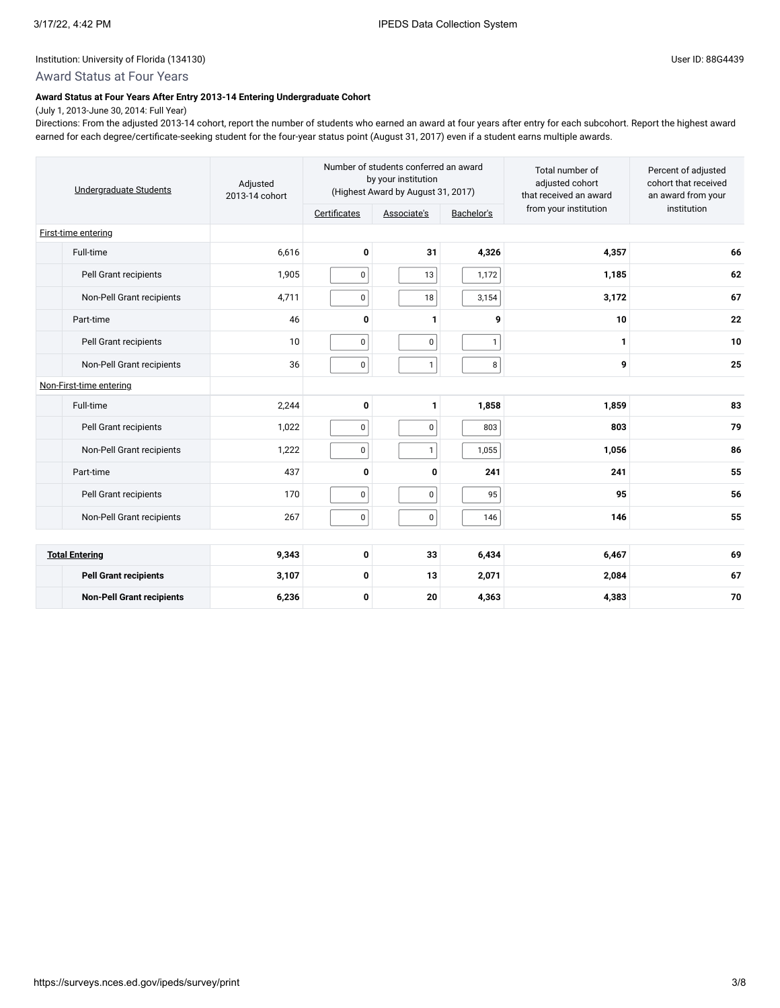# Award Status at Four Years

#### **Award Status at Four Years After Entry 2013-14 Entering Undergraduate Cohort**

(July 1, 2013-June 30, 2014: Full Year) Directions: From the adjusted 2013-14 cohort, report the number of students who earned an award at four years after entry for each subcohort. Report the highest award earned for each degree/certificate-seeking student for the four-year status point (August 31, 2017) even if a student earns multiple awards.

| Undergraduate Students           | Adjusted<br>2013-14 cohort | Number of students conferred an award<br>by your institution<br>(Highest Award by August 31, 2017) |             |              | Total number of<br>adjusted cohort<br>that received an award | Percent of adjusted<br>cohort that received<br>an award from your |
|----------------------------------|----------------------------|----------------------------------------------------------------------------------------------------|-------------|--------------|--------------------------------------------------------------|-------------------------------------------------------------------|
|                                  |                            | Certificates                                                                                       | Associate's | Bachelor's   | from your institution                                        | institution                                                       |
| First-time entering              |                            |                                                                                                    |             |              |                                                              |                                                                   |
| Full-time                        | 6,616                      | $\mathbf 0$                                                                                        | 31          | 4,326        | 4,357                                                        | 66                                                                |
| Pell Grant recipients            | 1,905                      | $\pmb{0}$                                                                                          | 13          | 1,172        | 1,185                                                        | 62                                                                |
| Non-Pell Grant recipients        | 4,711                      | $\pmb{0}$                                                                                          | 18          | 3,154        | 3,172                                                        | 67                                                                |
| Part-time                        | 46                         | $\mathbf{0}$                                                                                       | 1           | 9            | 10                                                           | 22                                                                |
| Pell Grant recipients            | 10                         | $\pmb{0}$                                                                                          | $\mathbf 0$ | $\mathbf{1}$ | 1                                                            | 10                                                                |
| Non-Pell Grant recipients        | 36                         | $\pmb{0}$                                                                                          | 1           | 8            | 9                                                            | 25                                                                |
| Non-First-time entering          |                            |                                                                                                    |             |              |                                                              |                                                                   |
| Full-time                        | 2,244                      | 0                                                                                                  | 1           | 1,858        | 1,859                                                        | 83                                                                |
| Pell Grant recipients            | 1,022                      | $\pmb{0}$                                                                                          | $\mathbf 0$ | 803          | 803                                                          | 79                                                                |
| Non-Pell Grant recipients        | 1,222                      | $\pmb{0}$                                                                                          | 1           | 1,055        | 1,056                                                        | 86                                                                |
| Part-time                        | 437                        | 0                                                                                                  | 0           | 241          | 241                                                          | 55                                                                |
| Pell Grant recipients            | 170                        | $\pmb{0}$                                                                                          | $\pmb{0}$   | 95           | 95                                                           | 56                                                                |
| Non-Pell Grant recipients        | 267                        | $\mathbf 0$                                                                                        | 0           | 146          | 146                                                          | 55                                                                |
|                                  |                            |                                                                                                    |             |              |                                                              |                                                                   |
| <b>Total Entering</b>            | 9,343                      | 0                                                                                                  | 33          | 6,434        | 6,467                                                        | 69                                                                |
| <b>Pell Grant recipients</b>     | 3,107                      | 0                                                                                                  | 13          | 2,071        | 2,084                                                        | 67                                                                |
| <b>Non-Pell Grant recipients</b> | 6,236                      | 0                                                                                                  | 20          | 4,363        | 4,383                                                        | 70                                                                |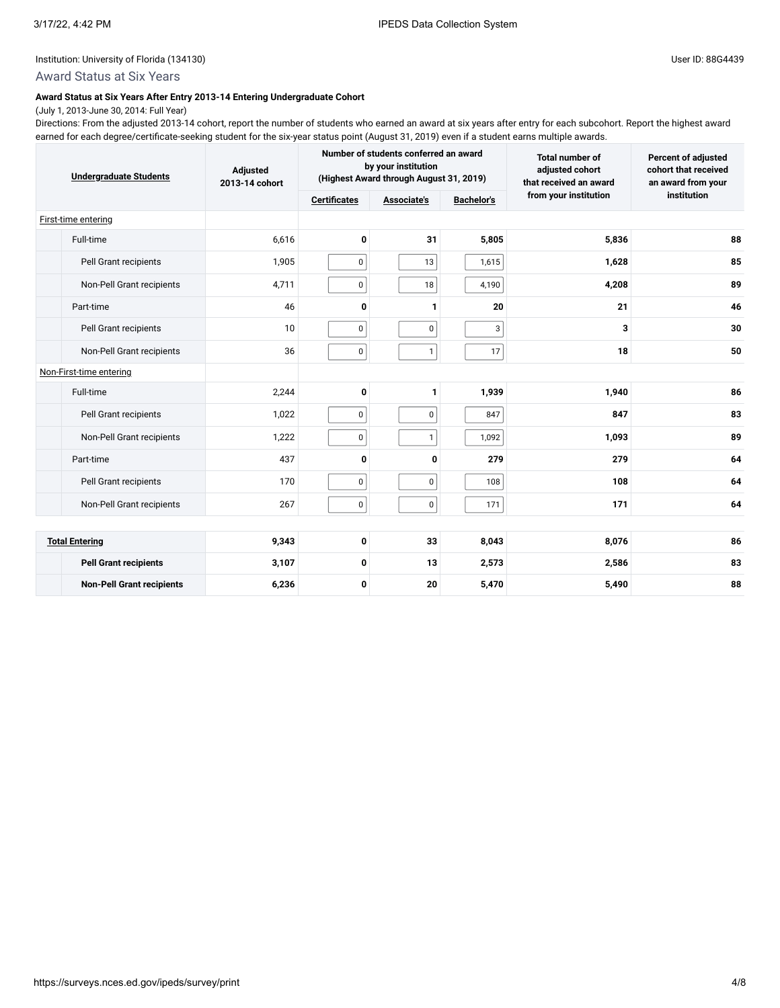# Award Status at Six Years

#### **Award Status at Six Years After Entry 2013-14 Entering Undergraduate Cohort**

(July 1, 2013-June 30, 2014: Full Year) Directions: From the adjusted 2013-14 cohort, report the number of students who earned an award at six years after entry for each subcohort. Report the highest award earned for each degree/certificate-seeking student for the six-year status point (August 31, 2019) even if a student earns multiple awards.

| <b>Undergraduate Students</b>    | Adjusted<br>2013-14 cohort |                     | Number of students conferred an award<br>by your institution<br>(Highest Award through August 31, 2019) |                   | <b>Total number of</b><br>adjusted cohort<br>that received an award | <b>Percent of adjusted</b><br>cohort that received<br>an award from your |
|----------------------------------|----------------------------|---------------------|---------------------------------------------------------------------------------------------------------|-------------------|---------------------------------------------------------------------|--------------------------------------------------------------------------|
|                                  |                            | <b>Certificates</b> | Associate's                                                                                             | <b>Bachelor's</b> | from your institution                                               | institution                                                              |
| First-time entering              |                            |                     |                                                                                                         |                   |                                                                     |                                                                          |
| Full-time                        | 6,616                      | 0                   | 31                                                                                                      | 5,805             | 5,836                                                               | 88                                                                       |
| Pell Grant recipients            | 1,905                      | 0                   | 13                                                                                                      | 1,615             | 1,628                                                               | 85                                                                       |
| Non-Pell Grant recipients        | 4,711                      | $\mathbf 0$         | 18                                                                                                      | 4,190             | 4,208                                                               | 89                                                                       |
| Part-time                        | 46                         | $\mathbf{0}$        | 1                                                                                                       | 20                | 21                                                                  | 46                                                                       |
| Pell Grant recipients            | 10                         | 0                   | 0                                                                                                       | 3                 | 3                                                                   | 30                                                                       |
| Non-Pell Grant recipients        | 36                         | 0                   | 1                                                                                                       | 17                | 18                                                                  | 50                                                                       |
| Non-First-time entering          |                            |                     |                                                                                                         |                   |                                                                     |                                                                          |
| Full-time                        | 2,244                      | 0                   | 1                                                                                                       | 1,939             | 1,940                                                               | 86                                                                       |
| Pell Grant recipients            | 1,022                      | $\pmb{0}$           | $\mathbf 0$                                                                                             | 847               | 847                                                                 | 83                                                                       |
| Non-Pell Grant recipients        | 1,222                      | 0                   | 1                                                                                                       | 1,092             | 1,093                                                               | 89                                                                       |
| Part-time                        | 437                        | $\mathbf 0$         | 0                                                                                                       | 279               | 279                                                                 | 64                                                                       |
| Pell Grant recipients            | 170                        | $\pmb{0}$           | 0                                                                                                       | 108               | 108                                                                 | 64                                                                       |
| Non-Pell Grant recipients        | 267                        | $\pmb{0}$           | 0                                                                                                       | 171               | 171                                                                 | 64                                                                       |
|                                  |                            |                     |                                                                                                         |                   |                                                                     |                                                                          |
| <b>Total Entering</b>            | 9,343                      | 0                   | 33                                                                                                      | 8,043             | 8,076                                                               | 86                                                                       |
| <b>Pell Grant recipients</b>     | 3,107                      | 0                   | 13                                                                                                      | 2,573             | 2,586                                                               | 83                                                                       |
| <b>Non-Pell Grant recipients</b> | 6,236                      | 0                   | 20                                                                                                      | 5,470             | 5,490                                                               | 88                                                                       |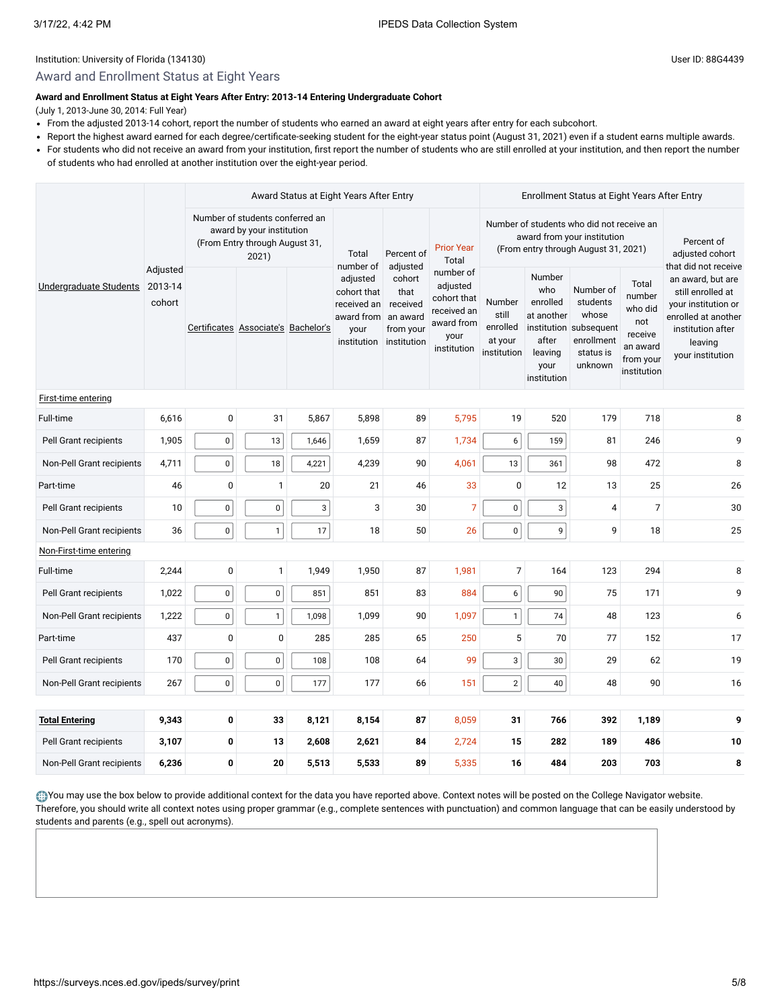# Award and Enrollment Status at Eight Years

### **Award and Enrollment Status at Eight Years After Entry: 2013-14 Entering Undergraduate Cohort**

(July 1, 2013-June 30, 2014: Full Year)

- From the adjusted 2013-14 cohort, report the number of students who earned an award at eight years after entry for each subcohort.
- Report the highest award earned for each degree/certificate-seeking student for the eight-year status point (August 31, 2021) even if a student earns multiple awards.
- For students who did not receive an award from your institution, first report the number of students who are still enrolled at your institution, and then report the number

of students who had enrolled at another institution over the eight-year period.

| Undergraduate Students    |                               |                                                                                                         | Award Status at Eight Years After Entry |                                                                             |                                                                    |                                                                                          |                                                                                                                  | Enrollment Status at Eight Years After Entry                                       |                                                                                                |                                                                                      |                                                                                                                                          |    |
|---------------------------|-------------------------------|---------------------------------------------------------------------------------------------------------|-----------------------------------------|-----------------------------------------------------------------------------|--------------------------------------------------------------------|------------------------------------------------------------------------------------------|------------------------------------------------------------------------------------------------------------------|------------------------------------------------------------------------------------|------------------------------------------------------------------------------------------------|--------------------------------------------------------------------------------------|------------------------------------------------------------------------------------------------------------------------------------------|----|
|                           |                               | Number of students conferred an<br>award by your institution<br>(From Entry through August 31,<br>2021) |                                         | Total<br>number of                                                          | Percent of<br>adjusted                                             | <b>Prior Year</b><br>Total                                                               | Number of students who did not receive an<br>award from your institution<br>(From entry through August 31, 2021) |                                                                                    |                                                                                                | Percent of<br>adjusted cohort<br>that did not receive                                |                                                                                                                                          |    |
|                           | Adjusted<br>2013-14<br>cohort | Certificates Associate's Bachelor's                                                                     |                                         | adjusted<br>cohort that<br>received an<br>award from<br>your<br>institution | cohort<br>that<br>received<br>an award<br>from your<br>institution | number of<br>adjusted<br>cohort that<br>received an<br>award from<br>your<br>institution | Number<br>still<br>enrolled<br>at your<br>institution                                                            | Number<br>who<br>enrolled<br>at another<br>after<br>leaving<br>your<br>institution | Number of<br>students<br>whose<br>institution subsequent<br>enrollment<br>status is<br>unknown | Total<br>number<br>who did<br>not<br>receive<br>an award<br>from your<br>institution | an award, but are<br>still enrolled at<br>your institution or<br>enrolled at another<br>institution after<br>leaving<br>your institution |    |
| First-time entering       |                               |                                                                                                         |                                         |                                                                             |                                                                    |                                                                                          |                                                                                                                  |                                                                                    |                                                                                                |                                                                                      |                                                                                                                                          |    |
| Full-time                 | 6,616                         | $\pmb{0}$                                                                                               | 31                                      | 5,867                                                                       | 5,898                                                              | 89                                                                                       | 5,795                                                                                                            | 19                                                                                 | 520                                                                                            | 179                                                                                  | 718                                                                                                                                      | 8  |
| Pell Grant recipients     | 1,905                         | $\pmb{0}$                                                                                               | 13                                      | 1,646                                                                       | 1,659                                                              | 87                                                                                       | 1,734                                                                                                            | 6                                                                                  | 159                                                                                            | 81                                                                                   | 246                                                                                                                                      | 9  |
| Non-Pell Grant recipients | 4,711                         | $\pmb{0}$                                                                                               | 18                                      | 4,221                                                                       | 4,239                                                              | 90                                                                                       | 4,061                                                                                                            | 13                                                                                 | 361                                                                                            | 98                                                                                   | 472                                                                                                                                      | 8  |
| Part-time                 | 46                            | 0                                                                                                       | $\mathbf{1}$                            | 20                                                                          | 21                                                                 | 46                                                                                       | 33                                                                                                               | $\mathbf 0$                                                                        | 12                                                                                             | 13                                                                                   | 25                                                                                                                                       | 26 |
| Pell Grant recipients     | 10                            | $\pmb{0}$                                                                                               | $\mathbf 0$                             | $\mathbf{3}$                                                                | 3                                                                  | 30                                                                                       | $\overline{7}$                                                                                                   | $\pmb{0}$                                                                          | 3                                                                                              | $\overline{4}$                                                                       | $\overline{7}$                                                                                                                           | 30 |
| Non-Pell Grant recipients | 36                            | $\pmb{0}$                                                                                               | $\mathbf{1}$                            | 17                                                                          | 18                                                                 | 50                                                                                       | 26                                                                                                               | $\pmb{0}$                                                                          | 9                                                                                              | 9                                                                                    | 18                                                                                                                                       | 25 |
| Non-First-time entering   |                               |                                                                                                         |                                         |                                                                             |                                                                    |                                                                                          |                                                                                                                  |                                                                                    |                                                                                                |                                                                                      |                                                                                                                                          |    |
| Full-time                 | 2,244                         | $\mathbf 0$                                                                                             | $\mathbf{1}$                            | 1,949                                                                       | 1,950                                                              | 87                                                                                       | 1,981                                                                                                            | $\overline{7}$                                                                     | 164                                                                                            | 123                                                                                  | 294                                                                                                                                      | 8  |
| Pell Grant recipients     | 1,022                         | $\pmb{0}$                                                                                               | $\mathbf 0$                             | 851                                                                         | 851                                                                | 83                                                                                       | 884                                                                                                              | 6                                                                                  | 90                                                                                             | 75                                                                                   | 171                                                                                                                                      | 9  |
| Non-Pell Grant recipients | 1,222                         | $\pmb{0}$                                                                                               | $\mathbf{1}$                            | 1,098                                                                       | 1,099                                                              | 90                                                                                       | 1,097                                                                                                            | $\mathbf{1}$                                                                       | 74                                                                                             | 48                                                                                   | 123                                                                                                                                      | 6  |
| Part-time                 | 437                           | $\mathbf 0$                                                                                             | 0                                       | 285                                                                         | 285                                                                | 65                                                                                       | 250                                                                                                              | 5                                                                                  | 70                                                                                             | 77                                                                                   | 152                                                                                                                                      | 17 |
| Pell Grant recipients     | 170                           | $\pmb{0}$                                                                                               | $\mathbf 0$                             | 108                                                                         | 108                                                                | 64                                                                                       | 99                                                                                                               | 3                                                                                  | 30                                                                                             | 29                                                                                   | 62                                                                                                                                       | 19 |
| Non-Pell Grant recipients | 267                           | $\pmb{0}$                                                                                               | 0                                       | 177                                                                         | 177                                                                | 66                                                                                       | 151                                                                                                              | $\overline{2}$                                                                     | 40                                                                                             | 48                                                                                   | 90                                                                                                                                       | 16 |
|                           |                               |                                                                                                         |                                         |                                                                             |                                                                    |                                                                                          |                                                                                                                  |                                                                                    |                                                                                                |                                                                                      |                                                                                                                                          |    |
| <b>Total Entering</b>     | 9,343                         | 0                                                                                                       | 33                                      | 8,121                                                                       | 8,154                                                              | 87                                                                                       | 8,059                                                                                                            | 31                                                                                 | 766                                                                                            | 392                                                                                  | 1,189                                                                                                                                    | 9  |
| Pell Grant recipients     | 3,107                         | 0                                                                                                       | 13                                      | 2,608                                                                       | 2,621                                                              | 84                                                                                       | 2,724                                                                                                            | 15                                                                                 | 282                                                                                            | 189                                                                                  | 486                                                                                                                                      | 10 |
| Non-Pell Grant recipients | 6,236                         | 0                                                                                                       | 20                                      | 5,513                                                                       | 5,533                                                              | 89                                                                                       | 5,335                                                                                                            | 16                                                                                 | 484                                                                                            | 203                                                                                  | 703                                                                                                                                      | 8  |

You may use the box below to provide additional context for the data you have reported above. Context notes will be posted on the College Navigator website. Therefore, you should write all context notes using proper grammar (e.g., complete sentences with punctuation) and common language that can be easily understood by students and parents (e.g., spell out acronyms).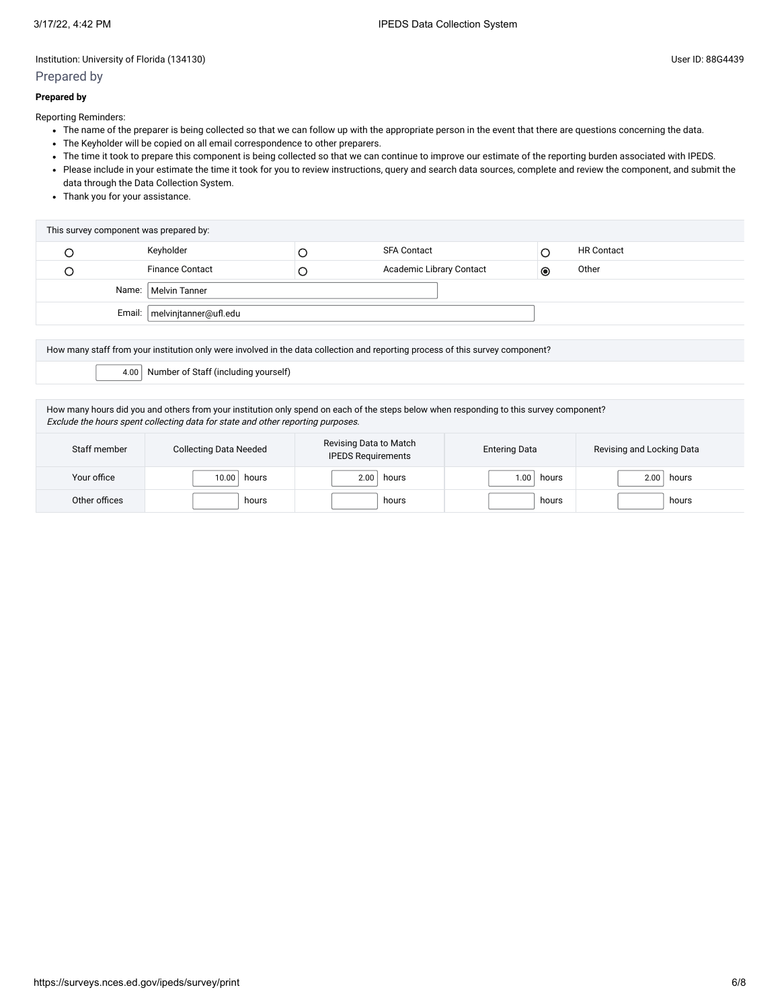# Prepared by

#### **Prepared by**

Reporting Reminders:

- The name of the preparer is being collected so that we can follow up with the appropriate person in the event that there are questions concerning the data.
- The Keyholder will be copied on all email correspondence to other preparers.
- The time it took to prepare this component is being collected so that we can continue to improve our estimate of the reporting burden associated with IPEDS.
- Please include in your estimate the time it took for you to review instructions, query and search data sources, complete and review the component, and submit the data through the Data Collection System.
- Thank you for your assistance.

| This survey component was prepared by: |                                |  |                          |           |                   |  |  |  |  |
|----------------------------------------|--------------------------------|--|--------------------------|-----------|-------------------|--|--|--|--|
|                                        | Keyholder                      |  | <b>SFA Contact</b>       |           | <b>HR Contact</b> |  |  |  |  |
|                                        | <b>Finance Contact</b>         |  | Academic Library Contact | $\bullet$ | Other             |  |  |  |  |
|                                        | Name:   Melvin Tanner          |  |                          |           |                   |  |  |  |  |
|                                        | Email:   melvinjtanner@ufl.edu |  |                          |           |                   |  |  |  |  |

How many staff from your institution only were involved in the data collection and reporting process of this survey component?

4.00 Number of Staff (including yourself)

How many hours did you and others from your institution only spend on each of the steps below when responding to this survey component? Exclude the hours spent collecting data for state and other reporting purposes.

| Staff member  | <b>Collecting Data Needed</b> | Revising Data to Match<br><b>IPEDS Requirements</b> | <b>Entering Data</b> | Revising and Locking Data |
|---------------|-------------------------------|-----------------------------------------------------|----------------------|---------------------------|
| Your office   | 10.00<br>hours                | 2.00<br>hours                                       | 1.00.<br>hours       | hours<br>2.00             |
| Other offices | hours                         | hours                                               | hours                | hours                     |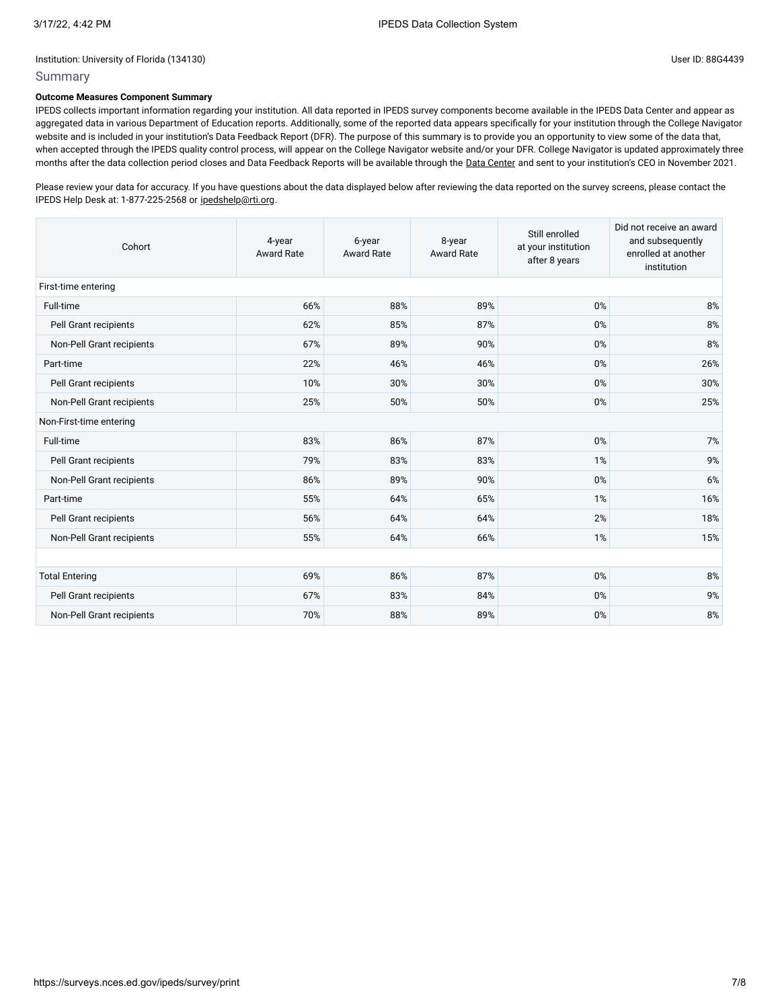# Summary

#### **Outcome Measures Component Summary**

IPEDS collects important information regarding your institution. All data reported in IPEDS survey components become available in the IPEDS Data Center and appear as aggregated data in various Department of Education reports. Additionally, some of the reported data appears specifically for your institution through the College Navigator website and is included in your institution's Data Feedback Report (DFR). The purpose of this summary is to provide you an opportunity to view some of the data that, when accepted through the IPEDS quality control process, will appear on the College Navigator website and/or your DFR. College Navigator is updated approximately three months after the data collection period closes and Data Feedback Reports will be available through the Data [Center](https://nces.ed.gov/ipeds/use-the-data) and sent to your institution's CEO in November 2021.

Please review your data for accuracy. If you have questions about the data displayed below after reviewing the data reported on the survey screens, please contact the IPEDS Help Desk at: 1-877-225-2568 or [ipedshelp@rti.org.](mailto:ipedshelp@rti.org)

| Cohort                    | 4-year<br><b>Award Rate</b> | 8-year<br>6-year<br><b>Award Rate</b><br><b>Award Rate</b> |     | Still enrolled<br>at your institution<br>after 8 years | Did not receive an award<br>and subsequently<br>enrolled at another<br>institution |  |  |  |  |  |
|---------------------------|-----------------------------|------------------------------------------------------------|-----|--------------------------------------------------------|------------------------------------------------------------------------------------|--|--|--|--|--|
| First-time entering       |                             |                                                            |     |                                                        |                                                                                    |  |  |  |  |  |
| Full-time                 | 66%                         | 88%                                                        | 89% | 0%                                                     | 8%                                                                                 |  |  |  |  |  |
| Pell Grant recipients     | 62%                         | 85%                                                        | 87% | 0%                                                     | 8%                                                                                 |  |  |  |  |  |
| Non-Pell Grant recipients | 67%                         | 89%                                                        | 90% | 0%                                                     | 8%                                                                                 |  |  |  |  |  |
| Part-time                 | 22%                         | 46%                                                        | 46% | 0%                                                     | 26%                                                                                |  |  |  |  |  |
| Pell Grant recipients     | 10%                         | 30%                                                        | 30% | 0%                                                     | 30%                                                                                |  |  |  |  |  |
| Non-Pell Grant recipients | 25%                         | 50%                                                        | 50% | 0%                                                     | 25%                                                                                |  |  |  |  |  |
| Non-First-time entering   |                             |                                                            |     |                                                        |                                                                                    |  |  |  |  |  |
| Full-time                 | 83%                         | 86%                                                        | 87% | 0%                                                     | 7%                                                                                 |  |  |  |  |  |
| Pell Grant recipients     | 79%                         | 83%                                                        | 83% | 1%                                                     | 9%                                                                                 |  |  |  |  |  |
| Non-Pell Grant recipients | 86%                         | 89%                                                        | 90% | 0%                                                     | 6%                                                                                 |  |  |  |  |  |
| Part-time                 | 55%                         | 64%                                                        | 65% | 1%                                                     | 16%                                                                                |  |  |  |  |  |
| Pell Grant recipients     | 56%                         | 64%                                                        | 64% | 2%                                                     | 18%                                                                                |  |  |  |  |  |
| Non-Pell Grant recipients | 55%                         | 64%                                                        | 66% | 1%                                                     | 15%                                                                                |  |  |  |  |  |
|                           |                             |                                                            |     |                                                        |                                                                                    |  |  |  |  |  |
| <b>Total Entering</b>     | 69%                         | 86%                                                        | 87% | 0%                                                     | 8%                                                                                 |  |  |  |  |  |
| Pell Grant recipients     | 67%                         | 83%                                                        | 84% | 0%                                                     | 9%                                                                                 |  |  |  |  |  |
| Non-Pell Grant recipients | 70%                         | 88%                                                        | 89% | 0%                                                     | 8%                                                                                 |  |  |  |  |  |